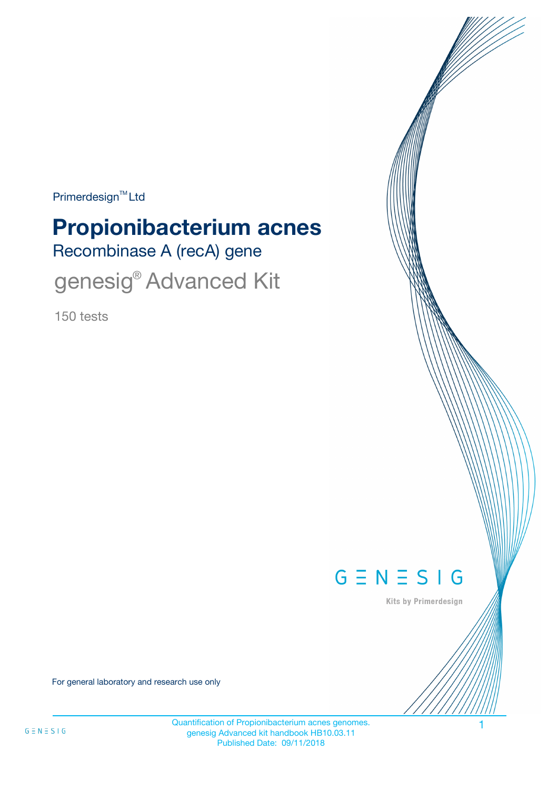$Primerdesign^{\text{TM}}$ Ltd

# Recombinase A (recA) gene **Propionibacterium acnes**

genesig<sup>®</sup> Advanced Kit

150 tests



Kits by Primerdesign

For general laboratory and research use only

Quantification of Propionibacterium acnes genomes. 1 genesig Advanced kit handbook HB10.03.11 Published Date: 09/11/2018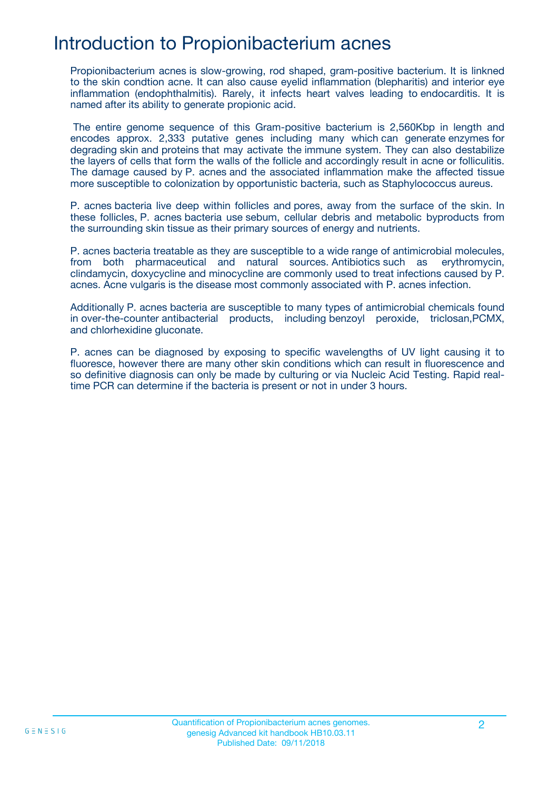## Introduction to Propionibacterium acnes

Propionibacterium acnes is slow-growing, rod shaped, gram-positive bacterium. It is linkned to the skin condtion acne. It can also cause eyelid inflammation (blepharitis) and interior eye inflammation (endophthalmitis). Rarely, it infects heart valves leading to endocarditis. It is named after its ability to generate propionic acid.

 The entire genome sequence of this Gram-positive bacterium is 2,560Kbp in length and encodes approx. 2,333 putative genes including many which can generate enzymes for degrading skin and proteins that may activate the immune system. They can also destabilize the layers of cells that form the walls of the follicle and accordingly result in acne or folliculitis. The damage caused by P. acnes and the associated inflammation make the affected tissue more susceptible to colonization by opportunistic bacteria, such as Staphylococcus aureus.

P. acnes bacteria live deep within follicles and pores, away from the surface of the skin. In these follicles, P. acnes bacteria use sebum, cellular debris and metabolic byproducts from the surrounding skin tissue as their primary sources of energy and nutrients.

P. acnes bacteria treatable as they are susceptible to a wide range of antimicrobial molecules, from both pharmaceutical and natural sources. Antibiotics such as erythromycin, clindamycin, doxycycline and minocycline are commonly used to treat infections caused by P. acnes. Acne vulgaris is the disease most commonly associated with P. acnes infection.

Additionally P. acnes bacteria are susceptible to many types of antimicrobial chemicals found in over-the-counter antibacterial products, including benzoyl peroxide, triclosan,PCMX, and chlorhexidine gluconate.

P. acnes can be diagnosed by exposing to specific wavelengths of UV light causing it to fluoresce, however there are many other skin conditions which can result in fluorescence and so definitive diagnosis can only be made by culturing or via Nucleic Acid Testing. Rapid realtime PCR can determine if the bacteria is present or not in under 3 hours.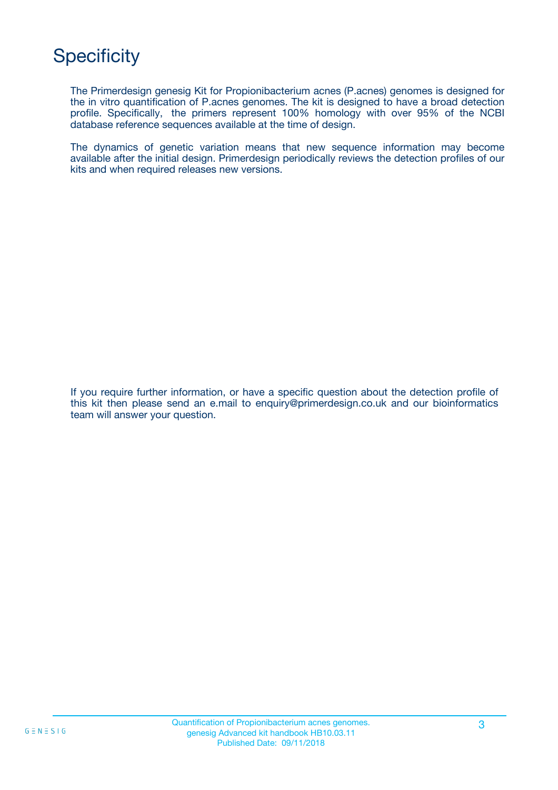# **Specificity**

The Primerdesign genesig Kit for Propionibacterium acnes (P.acnes) genomes is designed for the in vitro quantification of P.acnes genomes. The kit is designed to have a broad detection profile. Specifically, the primers represent 100% homology with over 95% of the NCBI database reference sequences available at the time of design.

The dynamics of genetic variation means that new sequence information may become available after the initial design. Primerdesign periodically reviews the detection profiles of our kits and when required releases new versions.

If you require further information, or have a specific question about the detection profile of this kit then please send an e.mail to enquiry@primerdesign.co.uk and our bioinformatics team will answer your question.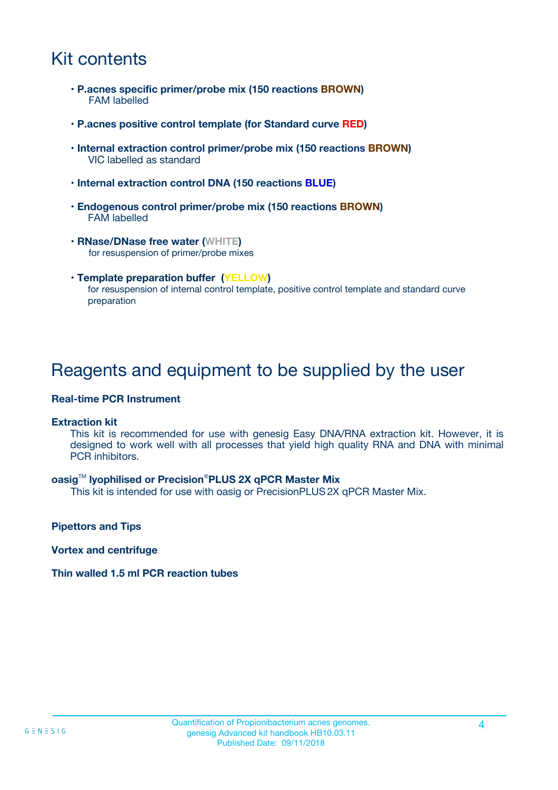## Kit contents

- **P.acnes specific primer/probe mix (150 reactions BROWN)** FAM labelled
- **P.acnes positive control template (for Standard curve RED)**
- **Internal extraction control primer/probe mix (150 reactions BROWN)** VIC labelled as standard
- **Internal extraction control DNA (150 reactions BLUE)**
- **Endogenous control primer/probe mix (150 reactions BROWN)** FAM labelled
- **RNase/DNase free water (WHITE)** for resuspension of primer/probe mixes
- **Template preparation buffer (YELLOW)** for resuspension of internal control template, positive control template and standard curve preparation

### Reagents and equipment to be supplied by the user

#### **Real-time PCR Instrument**

#### **Extraction kit**

This kit is recommended for use with genesig Easy DNA/RNA extraction kit. However, it is designed to work well with all processes that yield high quality RNA and DNA with minimal PCR inhibitors.

#### **oasig**TM **lyophilised or Precision**®**PLUS 2X qPCR Master Mix**

This kit is intended for use with oasig or PrecisionPLUS2X qPCR Master Mix.

**Pipettors and Tips**

**Vortex and centrifuge**

#### **Thin walled 1.5 ml PCR reaction tubes**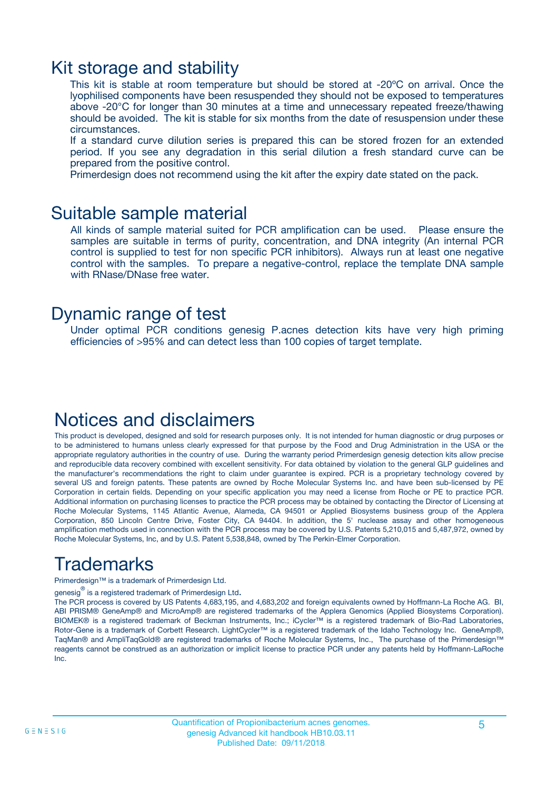### Kit storage and stability

This kit is stable at room temperature but should be stored at -20ºC on arrival. Once the lyophilised components have been resuspended they should not be exposed to temperatures above -20°C for longer than 30 minutes at a time and unnecessary repeated freeze/thawing should be avoided. The kit is stable for six months from the date of resuspension under these circumstances.

If a standard curve dilution series is prepared this can be stored frozen for an extended period. If you see any degradation in this serial dilution a fresh standard curve can be prepared from the positive control.

Primerdesign does not recommend using the kit after the expiry date stated on the pack.

### Suitable sample material

All kinds of sample material suited for PCR amplification can be used. Please ensure the samples are suitable in terms of purity, concentration, and DNA integrity (An internal PCR control is supplied to test for non specific PCR inhibitors). Always run at least one negative control with the samples. To prepare a negative-control, replace the template DNA sample with RNase/DNase free water.

### Dynamic range of test

Under optimal PCR conditions genesig P.acnes detection kits have very high priming efficiencies of >95% and can detect less than 100 copies of target template.

## Notices and disclaimers

This product is developed, designed and sold for research purposes only. It is not intended for human diagnostic or drug purposes or to be administered to humans unless clearly expressed for that purpose by the Food and Drug Administration in the USA or the appropriate regulatory authorities in the country of use. During the warranty period Primerdesign genesig detection kits allow precise and reproducible data recovery combined with excellent sensitivity. For data obtained by violation to the general GLP guidelines and the manufacturer's recommendations the right to claim under guarantee is expired. PCR is a proprietary technology covered by several US and foreign patents. These patents are owned by Roche Molecular Systems Inc. and have been sub-licensed by PE Corporation in certain fields. Depending on your specific application you may need a license from Roche or PE to practice PCR. Additional information on purchasing licenses to practice the PCR process may be obtained by contacting the Director of Licensing at Roche Molecular Systems, 1145 Atlantic Avenue, Alameda, CA 94501 or Applied Biosystems business group of the Applera Corporation, 850 Lincoln Centre Drive, Foster City, CA 94404. In addition, the 5' nuclease assay and other homogeneous amplification methods used in connection with the PCR process may be covered by U.S. Patents 5,210,015 and 5,487,972, owned by Roche Molecular Systems, Inc, and by U.S. Patent 5,538,848, owned by The Perkin-Elmer Corporation.

# Trademarks

Primerdesign™ is a trademark of Primerdesign Ltd.

genesig $^\circledR$  is a registered trademark of Primerdesign Ltd.

The PCR process is covered by US Patents 4,683,195, and 4,683,202 and foreign equivalents owned by Hoffmann-La Roche AG. BI, ABI PRISM® GeneAmp® and MicroAmp® are registered trademarks of the Applera Genomics (Applied Biosystems Corporation). BIOMEK® is a registered trademark of Beckman Instruments, Inc.; iCycler™ is a registered trademark of Bio-Rad Laboratories, Rotor-Gene is a trademark of Corbett Research. LightCycler™ is a registered trademark of the Idaho Technology Inc. GeneAmp®, TaqMan® and AmpliTaqGold® are registered trademarks of Roche Molecular Systems, Inc., The purchase of the Primerdesign™ reagents cannot be construed as an authorization or implicit license to practice PCR under any patents held by Hoffmann-LaRoche Inc.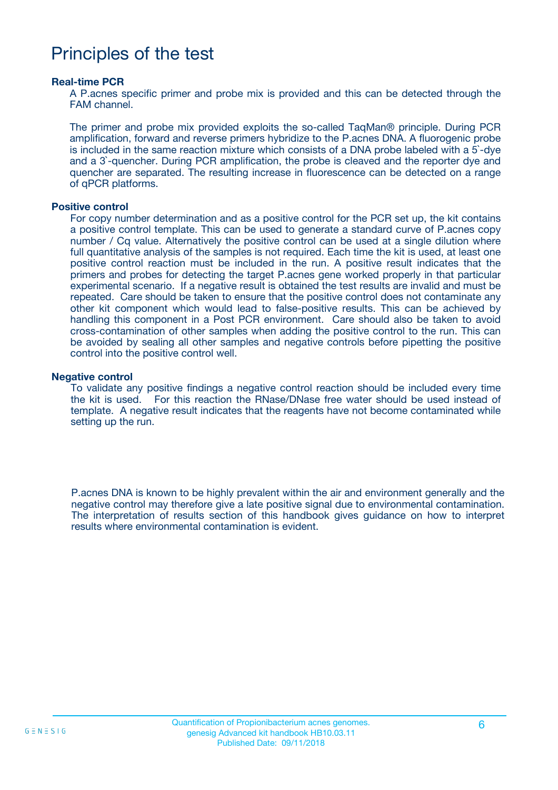### Principles of the test

#### **Real-time PCR**

A P.acnes specific primer and probe mix is provided and this can be detected through the FAM channel.

The primer and probe mix provided exploits the so-called TaqMan® principle. During PCR amplification, forward and reverse primers hybridize to the P.acnes DNA. A fluorogenic probe is included in the same reaction mixture which consists of a DNA probe labeled with a 5`-dye and a 3`-quencher. During PCR amplification, the probe is cleaved and the reporter dye and quencher are separated. The resulting increase in fluorescence can be detected on a range of qPCR platforms.

#### **Positive control**

For copy number determination and as a positive control for the PCR set up, the kit contains a positive control template. This can be used to generate a standard curve of P.acnes copy number / Cq value. Alternatively the positive control can be used at a single dilution where full quantitative analysis of the samples is not required. Each time the kit is used, at least one positive control reaction must be included in the run. A positive result indicates that the primers and probes for detecting the target P.acnes gene worked properly in that particular experimental scenario. If a negative result is obtained the test results are invalid and must be repeated. Care should be taken to ensure that the positive control does not contaminate any other kit component which would lead to false-positive results. This can be achieved by handling this component in a Post PCR environment. Care should also be taken to avoid cross-contamination of other samples when adding the positive control to the run. This can be avoided by sealing all other samples and negative controls before pipetting the positive control into the positive control well.

#### **Negative control**

To validate any positive findings a negative control reaction should be included every time the kit is used. For this reaction the RNase/DNase free water should be used instead of template. A negative result indicates that the reagents have not become contaminated while setting up the run.

P.acnes DNA is known to be highly prevalent within the air and environment generally and the negative control may therefore give a late positive signal due to environmental contamination. The interpretation of results section of this handbook gives guidance on how to interpret results where environmental contamination is evident.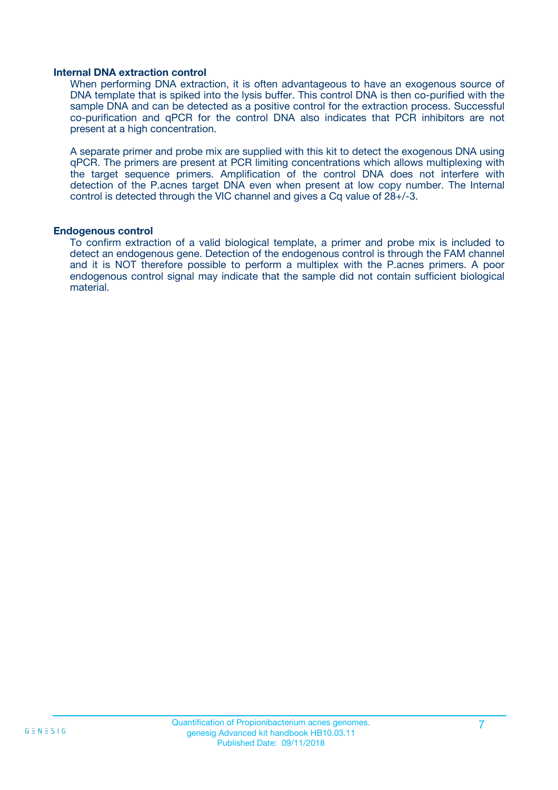#### **Internal DNA extraction control**

When performing DNA extraction, it is often advantageous to have an exogenous source of DNA template that is spiked into the lysis buffer. This control DNA is then co-purified with the sample DNA and can be detected as a positive control for the extraction process. Successful co-purification and qPCR for the control DNA also indicates that PCR inhibitors are not present at a high concentration.

A separate primer and probe mix are supplied with this kit to detect the exogenous DNA using qPCR. The primers are present at PCR limiting concentrations which allows multiplexing with the target sequence primers. Amplification of the control DNA does not interfere with detection of the P.acnes target DNA even when present at low copy number. The Internal control is detected through the VIC channel and gives a Cq value of 28+/-3.

#### **Endogenous control**

To confirm extraction of a valid biological template, a primer and probe mix is included to detect an endogenous gene. Detection of the endogenous control is through the FAM channel and it is NOT therefore possible to perform a multiplex with the P.acnes primers. A poor endogenous control signal may indicate that the sample did not contain sufficient biological material.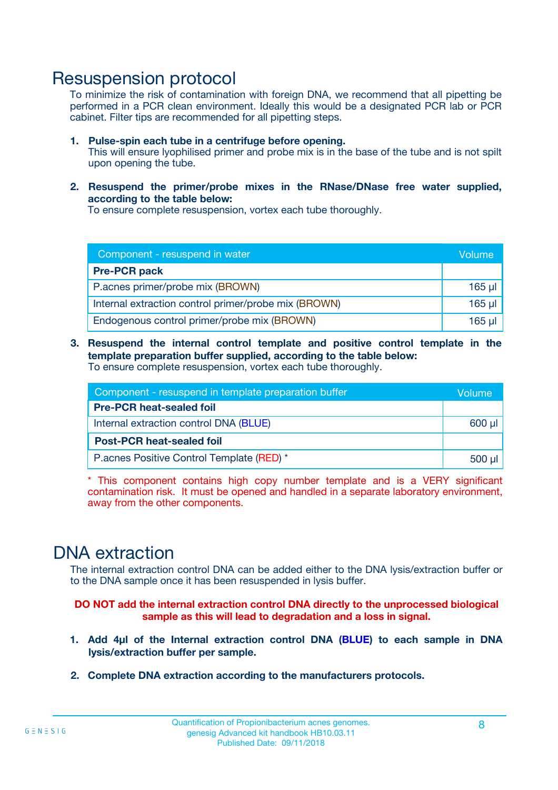### Resuspension protocol

To minimize the risk of contamination with foreign DNA, we recommend that all pipetting be performed in a PCR clean environment. Ideally this would be a designated PCR lab or PCR cabinet. Filter tips are recommended for all pipetting steps.

- **1. Pulse-spin each tube in a centrifuge before opening.** This will ensure lyophilised primer and probe mix is in the base of the tube and is not spilt upon opening the tube.
- **2. Resuspend the primer/probe mixes in the RNase/DNase free water supplied, according to the table below:**

To ensure complete resuspension, vortex each tube thoroughly.

| Component - resuspend in water                       |          |  |
|------------------------------------------------------|----------|--|
| <b>Pre-PCR pack</b>                                  |          |  |
| P.acnes primer/probe mix (BROWN)                     | $165$ µ  |  |
| Internal extraction control primer/probe mix (BROWN) | $165$ µl |  |
| Endogenous control primer/probe mix (BROWN)          | 165 µl   |  |

**3. Resuspend the internal control template and positive control template in the template preparation buffer supplied, according to the table below:** To ensure complete resuspension, vortex each tube thoroughly.

| Component - resuspend in template preparation buffer |          |  |  |
|------------------------------------------------------|----------|--|--|
| <b>Pre-PCR heat-sealed foil</b>                      |          |  |  |
| Internal extraction control DNA (BLUE)               |          |  |  |
| <b>Post-PCR heat-sealed foil</b>                     |          |  |  |
| P.acnes Positive Control Template (RED) *            | $500$ µl |  |  |

\* This component contains high copy number template and is a VERY significant contamination risk. It must be opened and handled in a separate laboratory environment, away from the other components.

### DNA extraction

The internal extraction control DNA can be added either to the DNA lysis/extraction buffer or to the DNA sample once it has been resuspended in lysis buffer.

**DO NOT add the internal extraction control DNA directly to the unprocessed biological sample as this will lead to degradation and a loss in signal.**

- **1. Add 4µl of the Internal extraction control DNA (BLUE) to each sample in DNA lysis/extraction buffer per sample.**
- **2. Complete DNA extraction according to the manufacturers protocols.**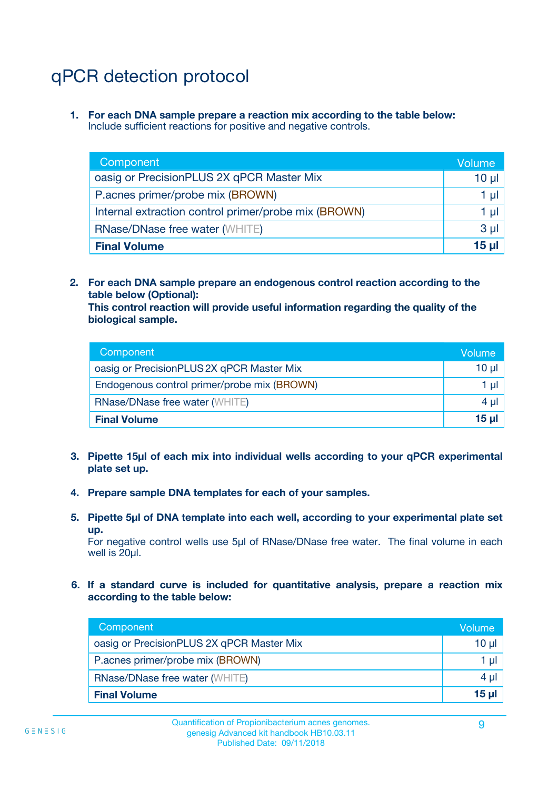# qPCR detection protocol

**1. For each DNA sample prepare a reaction mix according to the table below:** Include sufficient reactions for positive and negative controls.

| Component                                            | Volume   |
|------------------------------------------------------|----------|
| oasig or PrecisionPLUS 2X qPCR Master Mix            | $10 \mu$ |
| P.acnes primer/probe mix (BROWN)                     | 1 µI l   |
| Internal extraction control primer/probe mix (BROWN) | 1 µl     |
| <b>RNase/DNase free water (WHITE)</b>                | $3 \mu$  |
| <b>Final Volume</b>                                  | 15 µl    |

**2. For each DNA sample prepare an endogenous control reaction according to the table below (Optional):**

**This control reaction will provide useful information regarding the quality of the biological sample.**

| Component                                   | Volume   |
|---------------------------------------------|----------|
| oasig or PrecisionPLUS 2X qPCR Master Mix   | $10 \mu$ |
| Endogenous control primer/probe mix (BROWN) | 1 µI     |
| <b>RNase/DNase free water (WHITE)</b>       | $4 \mu$  |
| <b>Final Volume</b>                         | 15 µl    |

- **3. Pipette 15µl of each mix into individual wells according to your qPCR experimental plate set up.**
- **4. Prepare sample DNA templates for each of your samples.**
- **5. Pipette 5µl of DNA template into each well, according to your experimental plate set up.**

For negative control wells use 5µl of RNase/DNase free water. The final volume in each well is 20ul.

**6. If a standard curve is included for quantitative analysis, prepare a reaction mix according to the table below:**

| Component                                 | Volume  |
|-------------------------------------------|---------|
| oasig or PrecisionPLUS 2X qPCR Master Mix | 10 µl   |
| P.acnes primer/probe mix (BROWN)          |         |
| <b>RNase/DNase free water (WHITE)</b>     | $4 \mu$ |
| <b>Final Volume</b>                       | $15$ µ  |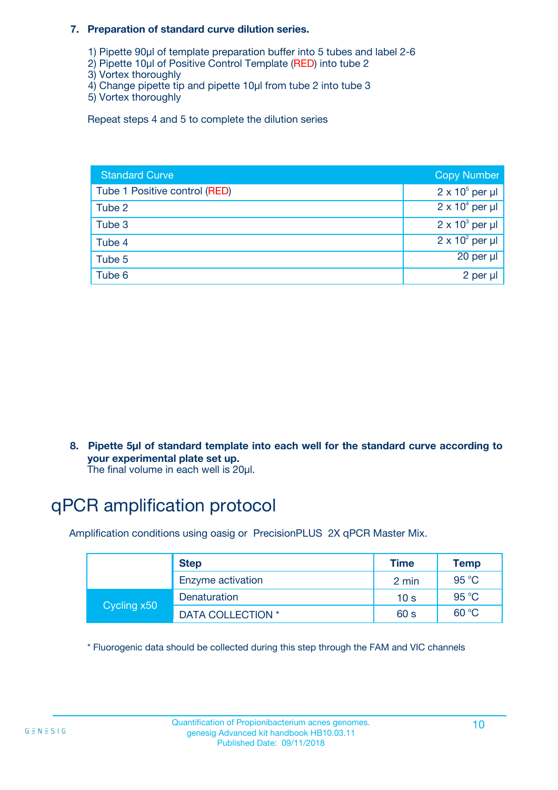#### **7. Preparation of standard curve dilution series.**

- 1) Pipette 90µl of template preparation buffer into 5 tubes and label 2-6
- 2) Pipette 10µl of Positive Control Template (RED) into tube 2
- 3) Vortex thoroughly
- 4) Change pipette tip and pipette 10µl from tube 2 into tube 3
- 5) Vortex thoroughly

Repeat steps 4 and 5 to complete the dilution series

| <b>Standard Curve</b>         | <b>Copy Number</b>     |
|-------------------------------|------------------------|
| Tube 1 Positive control (RED) | $2 \times 10^5$ per µl |
| Tube 2                        | $2 \times 10^4$ per µl |
| Tube 3                        | $2 \times 10^3$ per µl |
| Tube 4                        | $2 \times 10^2$ per µl |
| Tube 5                        | 20 per µl              |
| Tube 6                        | 2 per µl               |

**8. Pipette 5µl of standard template into each well for the standard curve according to your experimental plate set up.**

#### The final volume in each well is 20µl.

# qPCR amplification protocol

Amplification conditions using oasig or PrecisionPLUS 2X qPCR Master Mix.

|             | <b>Step</b>       | <b>Time</b>     | Temp    |
|-------------|-------------------|-----------------|---------|
|             | Enzyme activation | 2 min           | 95 °C   |
| Cycling x50 | Denaturation      | 10 <sub>s</sub> | 95 $°C$ |
|             | DATA COLLECTION * | 60 s            | 60 °C   |

\* Fluorogenic data should be collected during this step through the FAM and VIC channels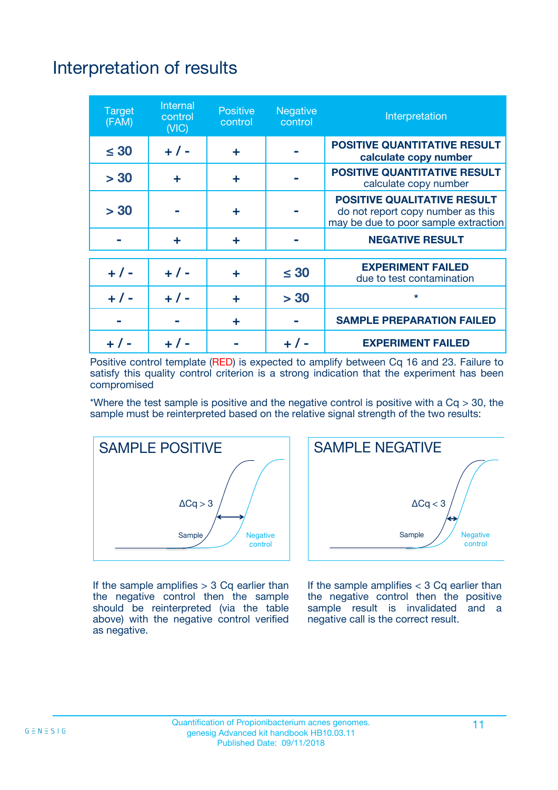# Interpretation of results

| <b>Target</b><br>(FAM) | Internal<br>control<br>(VIC) | <b>Positive</b><br>control | <b>Negative</b><br>control | Interpretation                                                                                                  |
|------------------------|------------------------------|----------------------------|----------------------------|-----------------------------------------------------------------------------------------------------------------|
| $\leq 30$              | $+ 1 -$                      | ÷                          |                            | <b>POSITIVE QUANTITATIVE RESULT</b><br>calculate copy number                                                    |
| > 30                   | ÷                            | ÷                          |                            | <b>POSITIVE QUANTITATIVE RESULT</b><br>calculate copy number                                                    |
| > 30                   |                              | ÷                          |                            | <b>POSITIVE QUALITATIVE RESULT</b><br>do not report copy number as this<br>may be due to poor sample extraction |
|                        | ÷                            | ÷                          |                            | <b>NEGATIVE RESULT</b>                                                                                          |
| $+$ / -                | $+ 1 -$                      | ٠                          | $\leq 30$                  | <b>EXPERIMENT FAILED</b><br>due to test contamination                                                           |
| $+$ / -                | $+ 1 -$                      | ÷                          | > 30                       | $\star$                                                                                                         |
|                        |                              | ÷                          |                            | <b>SAMPLE PREPARATION FAILED</b>                                                                                |
|                        |                              |                            |                            | <b>EXPERIMENT FAILED</b>                                                                                        |

Positive control template (RED) is expected to amplify between Cq 16 and 23. Failure to satisfy this quality control criterion is a strong indication that the experiment has been compromised

\*Where the test sample is positive and the negative control is positive with a  $Cq > 30$ , the sample must be reinterpreted based on the relative signal strength of the two results:



If the sample amplifies  $> 3$  Cq earlier than the negative control then the sample should be reinterpreted (via the table above) with the negative control verified as negative.



If the sample amplifies  $<$  3 Cq earlier than the negative control then the positive sample result is invalidated and a negative call is the correct result.